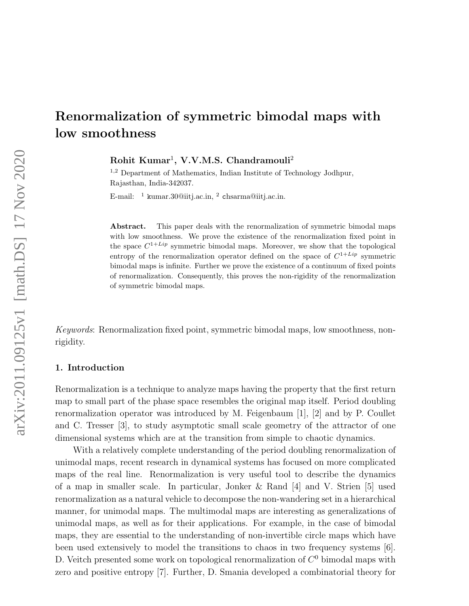$Rohit \ Kumar<sup>1</sup>, V.V.M.S. Chandramouli<sup>2</sup>$ 

<sup>1</sup>,<sup>2</sup> Department of Mathematics, Indian Institute of Technology Jodhpur, Rajasthan, India-342037.

E-mail: <sup>1</sup> kumar.30@iitj.ac.in, <sup>2</sup> chsarma@iitj.ac.in.

Abstract. This paper deals with the renormalization of symmetric bimodal maps with low smoothness. We prove the existence of the renormalization fixed point in the space  $C^{1+Lip}$  symmetric bimodal maps. Moreover, we show that the topological entropy of the renormalization operator defined on the space of  $C^{1+Lip}$  symmetric bimodal maps is infinite. Further we prove the existence of a continuum of fixed points of renormalization. Consequently, this proves the non-rigidity of the renormalization of symmetric bimodal maps.

Keywords: Renormalization fixed point, symmetric bimodal maps, low smoothness, nonrigidity.

## 1. Introduction

Renormalization is a technique to analyze maps having the property that the first return map to small part of the phase space resembles the original map itself. Period doubling renormalization operator was introduced by M. Feigenbaum [1], [2] and by P. Coullet and C. Tresser [3], to study asymptotic small scale geometry of the attractor of one dimensional systems which are at the transition from simple to chaotic dynamics.

With a relatively complete understanding of the period doubling renormalization of unimodal maps, recent research in dynamical systems has focused on more complicated maps of the real line. Renormalization is very useful tool to describe the dynamics of a map in smaller scale. In particular, Jonker & Rand [4] and V. Strien [5] used renormalization as a natural vehicle to decompose the non-wandering set in a hierarchical manner, for unimodal maps. The multimodal maps are interesting as generalizations of unimodal maps, as well as for their applications. For example, in the case of bimodal maps, they are essential to the understanding of non-invertible circle maps which have been used extensively to model the transitions to chaos in two frequency systems [6]. D. Veitch presented some work on topological renormalization of  $C^0$  bimodal maps with zero and positive entropy [7]. Further, D. Smania developed a combinatorial theory for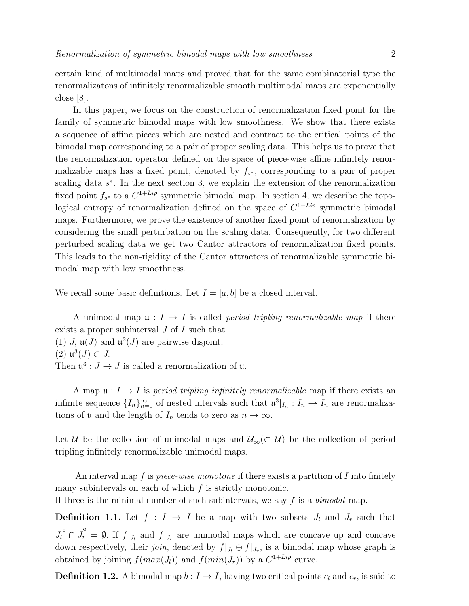certain kind of multimodal maps and proved that for the same combinatorial type the renormalizatons of infinitely renormalizable smooth multimodal maps are exponentially close [8].

In this paper, we focus on the construction of renormalization fixed point for the family of symmetric bimodal maps with low smoothness. We show that there exists a sequence of affine pieces which are nested and contract to the critical points of the bimodal map corresponding to a pair of proper scaling data. This helps us to prove that the renormalization operator defined on the space of piece-wise affine infinitely renormalizable maps has a fixed point, denoted by  $f_{s^*}$ , corresponding to a pair of proper scaling data  $s^*$ . In the next section 3, we explain the extension of the renormalization fixed point  $f_{s^*}$  to a  $C^{1+Lip}$  symmetric bimodal map. In section 4, we describe the topological entropy of renormalization defined on the space of  $C^{1+Lip}$  symmetric bimodal maps. Furthermore, we prove the existence of another fixed point of renormalization by considering the small perturbation on the scaling data. Consequently, for two different perturbed scaling data we get two Cantor attractors of renormalization fixed points. This leads to the non-rigidity of the Cantor attractors of renormalizable symmetric bimodal map with low smoothness.

We recall some basic definitions. Let  $I = [a, b]$  be a closed interval.

A unimodal map  $\mathfrak{u}: I \to I$  is called *period tripling renormalizable map* if there exists a proper subinterval J of I such that (1) J,  $\mathfrak{u}(J)$  and  $\mathfrak{u}^2(J)$  are pairwise disjoint, (2)  $\mathfrak{u}^3(J) \subset J$ . Then  $\mathfrak{u}^3: J \to J$  is called a renormalization of  $\mathfrak{u}$ .

A map  $\mathfrak{u}: I \to I$  is period tripling infinitely renormalizable map if there exists an infinite sequence  $\{I_n\}_{n=0}^{\infty}$  of nested intervals such that  $\mathfrak{u}^3|_{I_n}: I_n \to I_n$  are renormalizations of **u** and the length of  $I_n$  tends to zero as  $n \to \infty$ .

Let U be the collection of unimodal maps and  $\mathcal{U}_{\infty}(\subset \mathcal{U})$  be the collection of period tripling infinitely renormalizable unimodal maps.

An interval map f is *piece-wise monotone* if there exists a partition of I into finitely many subintervals on each of which  $f$  is strictly monotonic.

If three is the minimal number of such subintervals, we say  $f$  is a *bimodal* map.

**Definition 1.1.** Let  $f : I \to I$  be a map with two subsets  $J_l$  and  $J_r$  such that  $J_l^{\circ} \cap J_r^{\circ} = \emptyset$ . If  $f|_{J_l}$  and  $f|_{J_r}$  are unimodal maps which are concave up and concave down respectively, their *join*, denoted by  $f|_{J_l} \oplus f|_{J_r}$ , is a bimodal map whose graph is obtained by joining  $f(max(J_l))$  and  $f(min(J_r))$  by a  $C^{1+Lip}$  curve.

**Definition 1.2.** A bimodal map  $b: I \to I$ , having two critical points  $c_l$  and  $c_r$ , is said to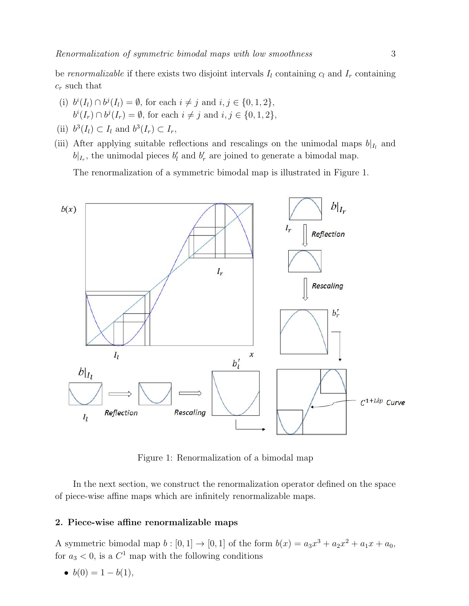be renormalizable if there exists two disjoint intervals  $I_l$  containing  $c_l$  and  $I_r$  containing  $c_r$  such that

- (i)  $b^{i}(I_{l}) \cap b^{j}(I_{l}) = \emptyset$ , for each  $i \neq j$  and  $i, j \in \{0, 1, 2\}$ ,  $b^{i}(I_{r}) \cap b^{j}(I_{r}) = \emptyset$ , for each  $i \neq j$  and  $i, j \in \{0, 1, 2\},$
- (ii)  $b^3(I_l) \subset I_l$  and  $b^3(I_r) \subset I_r$ ,
- (iii) After applying suitable reflections and rescalings on the unimodal maps  $b|_{I_l}$  and  $b|_{I_r}$ , the unimodal pieces  $b'_l$  and  $b'_r$  are joined to generate a bimodal map.

The renormalization of a symmetric bimodal map is illustrated in Figure 1.



Figure 1: Renormalization of a bimodal map

In the next section, we construct the renormalization operator defined on the space of piece-wise affine maps which are infinitely renormalizable maps.

## 2. Piece-wise affine renormalizable maps

A symmetric bimodal map  $b : [0, 1] \to [0, 1]$  of the form  $b(x) = a_3x^3 + a_2x^2 + a_1x + a_0$ , for  $a_3 < 0$ , is a  $C^1$  map with the following conditions

•  $b(0) = 1 - b(1)$ ,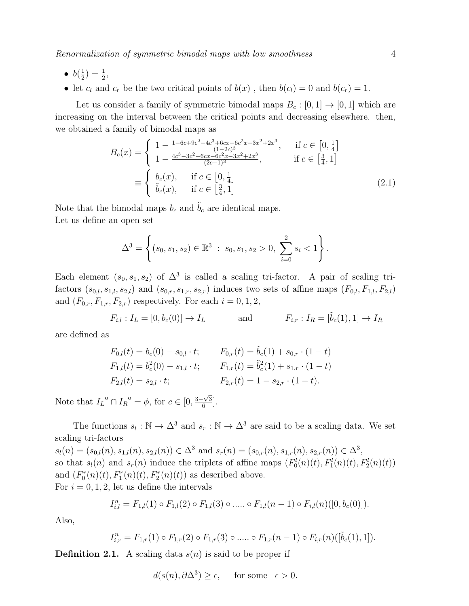- $\bullet$   $b(\frac{1}{2})$  $(\frac{1}{2}) = \frac{1}{2},$
- let  $c_l$  and  $c_r$  be the two critical points of  $b(x)$ , then  $b(c_l) = 0$  and  $b(c_r) = 1$ .

Let us consider a family of symmetric bimodal maps  $B_c : [0,1] \rightarrow [0,1]$  which are increasing on the interval between the critical points and decreasing elsewhere. then, we obtained a family of bimodal maps as

$$
B_c(x) = \begin{cases} 1 - \frac{1 - 6c + 9c^2 - 4c^3 + 6cx - 6c^2x - 3x^2 + 2x^3}{(1 - 2c)^3}, & \text{if } c \in [0, \frac{1}{4}]\\ 1 - \frac{4c^3 - 3c^2 + 6cx - 6c^2x - 3x^2 + 2x^3}{(2c - 1)^3}, & \text{if } c \in [\frac{3}{4}, 1] \end{cases}
$$
  

$$
\equiv \begin{cases} b_c(x), & \text{if } c \in [0, \frac{1}{4}]\\ \tilde{b}_c(x), & \text{if } c \in [\frac{3}{4}, 1] \end{cases}
$$
(2.1)

Note that the bimodal maps  $b_c$  and  $\tilde{b}_c$  are identical maps. Let us define an open set

$$
\Delta^{3} = \left\{ (s_0, s_1, s_2) \in \mathbb{R}^3 : s_0, s_1, s_2 > 0, \sum_{i=0}^{2} s_i < 1 \right\}.
$$

Each element  $(s_0, s_1, s_2)$  of  $\Delta^3$  is called a scaling tri-factor. A pair of scaling trifactors  $(s_{0,l}, s_{1,l}, s_{2,l})$  and  $(s_{0,r}, s_{1,r}, s_{2,r})$  induces two sets of affine maps  $(F_{0,l}, F_{1,l}, F_{2,l})$ and  $(F_{0,r}, F_{1,r}, F_{2,r})$  respectively. For each  $i = 0, 1, 2$ ,

$$
F_{i,l}: I_L = [0, b_c(0)] \to I_L
$$
 and  $F_{i,r}: I_R = [\tilde{b}_c(1), 1] \to I_R$ 

are defined as

$$
F_{0,l}(t) = b_c(0) - s_{0,l} \cdot t; \qquad F_{0,r}(t) = \tilde{b}_c(1) + s_{0,r} \cdot (1 - t)
$$
  
\n
$$
F_{1,l}(t) = b_c^2(0) - s_{1,l} \cdot t; \qquad F_{1,r}(t) = \tilde{b}_c^2(1) + s_{1,r} \cdot (1 - t)
$$
  
\n
$$
F_{2,l}(t) = s_{2,l} \cdot t; \qquad F_{2,r}(t) = 1 - s_{2,r} \cdot (1 - t).
$$

Note that  $I_L^{\circ} \cap I_R^{\circ} = \phi$ , for  $c \in [0, \frac{3-\sqrt{3}}{6}]$  $\frac{\sqrt{3}}{6}$ .

The functions  $s_l : \mathbb{N} \to \Delta^3$  and  $s_r : \mathbb{N} \to \Delta^3$  are said to be a scaling data. We set scaling tri-factors

 $s_l(n) = (s_{0,l}(n), s_{1,l}(n), s_{2,l}(n)) \in \Delta^3$  and  $s_r(n) = (s_{0,r}(n), s_{1,r}(n), s_{2,r}(n)) \in \Delta^3$ , so that  $s_l(n)$  and  $s_r(n)$  induce the triplets of affine maps  $(F_0^l(n)(t), F_1^l(n)(t), F_2^l(n)(t))$ and  $(F_0^r(n)(t), F_1^r(n)(t), F_2^r(n)(t))$  as described above. For  $i = 0, 1, 2$ , let us define the intervals

$$
I_{i,l}^n = F_{1,l}(1) \circ F_{1,l}(2) \circ F_{1,l}(3) \circ \dots \circ F_{1,l}(n-1) \circ F_{i,l}(n) ([0, b_c(0)]).
$$

Also,

$$
I_{i,r}^n = F_{1,r}(1) \circ F_{1,r}(2) \circ F_{1,r}(3) \circ \dots \circ F_{1,r}(n-1) \circ F_{i,r}(n) ([\tilde{b}_c(1), 1]).
$$

**Definition 2.1.** A scaling data  $s(n)$  is said to be proper if

$$
d(s(n), \partial \Delta^3) \ge \epsilon, \quad \text{ for some } \epsilon > 0.
$$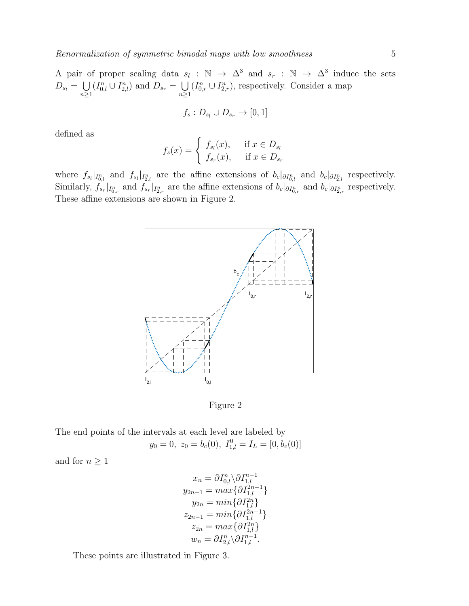A pair of proper scaling data  $s_l : \mathbb{N} \to \Delta^3$  and  $s_r : \mathbb{N} \to \Delta^3$  induce the sets  $D_{s_l} = \bigcup$  $n\geq 1$  $(I_{0,l}^n \cup I_{2,l}^n)$  and  $D_{s_r} = \bigcup_{s}$  $n\geq 1$  $(I_{0,r}^n \cup I_{2,r}^n)$ , respectively. Consider a map

$$
f_s: D_{s_l} \cup D_{s_r} \rightarrow [0,1]
$$

defined as

$$
f_s(x) = \begin{cases} f_{s_l}(x), & \text{if } x \in D_{s_l} \\ f_{s_r}(x), & \text{if } x \in D_{s_r} \end{cases}
$$

where  $f_{s_l}|_{I_{0,l}^n}$  and  $f_{s_l}|_{I_{2,l}^n}$  are the affine extensions of  $b_c|_{\partial I_{0,l}^n}$  and  $b_c|_{\partial I_{2,l}^n}$  respectively. Similarly,  $f_{s_r}|_{I_{0,r}^n}$  and  $f_{s_r}|_{I_{2,r}^n}$  are the affine extensions of  $b_c|_{\partial I_{0,r}^n}$  and  $b_c|_{\partial I_{2,r}^n}$  respectively. These affine extensions are shown in Figure 2.





The end points of the intervals at each level are labeled by  $y_0 = 0, z_0 = b_c(0), I_{1,l}^0 = I_L = [0, b_c(0)]$ 

and for  $n\geq 1$ 

$$
x_n = \partial I_{0,l}^n \backslash \partial I_{1,l}^{n-1}
$$
  
\n
$$
y_{2n-1} = \max \{ \partial I_{1,l}^{2n-1} \}
$$
  
\n
$$
y_{2n} = \min \{ \partial I_{1,l}^{2n} \}
$$
  
\n
$$
z_{2n-1} = \min \{ \partial I_{1,l}^{2n-1} \}
$$
  
\n
$$
z_{2n} = \max \{ \partial I_{1,l}^{2n} \}
$$
  
\n
$$
w_n = \partial I_{2,l}^n \backslash \partial I_{1,l}^{n-1}.
$$

These points are illustrated in Figure 3.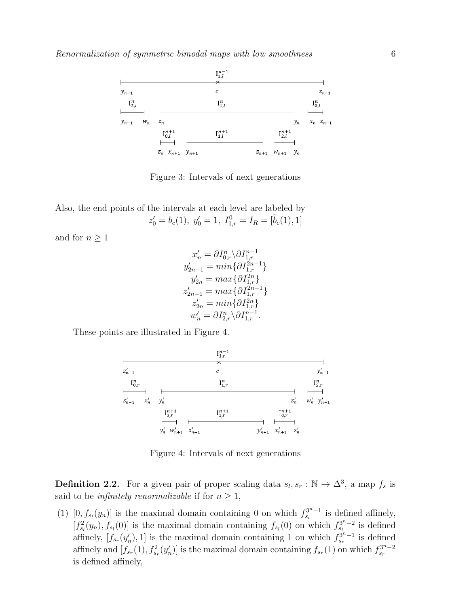

Figure 3: Intervals of next generations

Also, the end points of the intervals at each level are labeled by  $z'_0 = b_c(1), \ y'_0 = 1, \ I_{1,r}^0 = I_R = [\tilde{b}_c(1), 1]$ 

and for  $n \geq 1$ 

$$
x'_n = \partial I_{0,r}^n \backslash \partial I_{1,r}^{n-1}
$$
  
\n
$$
y'_{2n-1} = \min \{ \partial I_{1,r}^{2n-1} \}
$$
  
\n
$$
y'_{2n} = \max \{ \partial I_{1,r}^{2n} \}
$$
  
\n
$$
z'_{2n-1} = \max \{ \partial I_{1,r}^{2n-1} \}
$$
  
\n
$$
z'_{2n} = \min \{ \partial I_{1,r}^{2n} \}
$$
  
\n
$$
w'_n = \partial I_{2,r}^n \backslash \partial I_{1,r}^{n-1}.
$$

These points are illustrated in Figure 4.



Figure 4: Intervals of next generations

**Definition 2.2.** For a given pair of proper scaling data  $s_l, s_r : \mathbb{N} \to \Delta^3$ , a map  $f_s$  is said to be *infinitely renormalizable* if for  $n \geq 1$ ,

(1)  $[0, f_{s_l}(y_n)]$  is the maximal domain containing 0 on which  $f_{s_l}^{3^n-1}$  is defined affinely,  $[f_{s_l}^2(y_n), f_{s_l}(0)]$  is the maximal domain containing  $f_{s_l}(0)$  on which  $f_{s_l}^{3^n-2}$  is defined affinely,  $[f_{s_r}(y'_n), 1]$  is the maximal domain containing 1 on which  $f_{s_r}^{\tilde{s}^{n-1}}$  is defined affinely and  $[f_{s_r}(1), f_{s_r}^2(y'_n)]$  is the maximal domain containing  $f_{s_r}(1)$  on which  $f_{s_r}^{3^n-2}$ is defined affinely,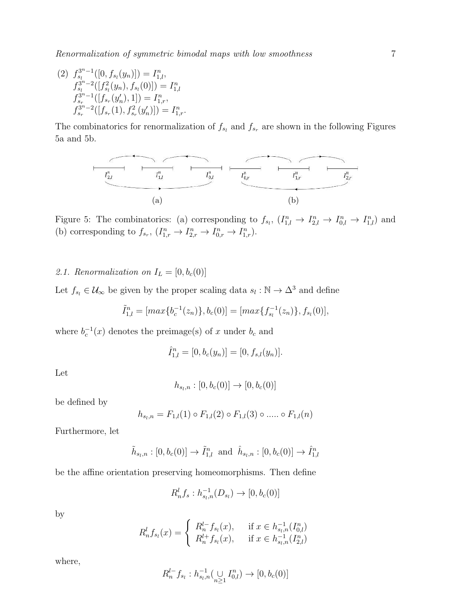(2)  $f_{s_l}^{3^n-1}([0, f_{s_l}(y_n)]) = I_{1,l}^n,$  $f_{s_l}^{3^n-2}([f_{s_l}^2(y_n),f_{s_l}(0)])=I_{1,l}^n$  $f_{s_r}^{3^n-1}([f_{s_r}(y'_n), 1]) = I_{1,r}^n,$  $f_{s_r}^{3^n-2}([f_{s_r}(1), f_{s_r}^2(y'_n)]) = I_{1,r}^n.$ 

The combinatorics for renormalization of  $f_{s_l}$  and  $f_{s_r}$  are shown in the following Figures 5a and 5b.



Figure 5: The combinatorics: (a) corresponding to  $f_{s_l}$ ,  $(I_{1,l}^n \to I_{2,l}^n \to I_{0,l}^n \to I_{1,l}^n)$  and (b) corresponding to  $f_{s_r}$ ,  $(I_{1,r}^n \to I_{2,r}^n \to I_{0,r}^n \to I_{1,r}^n)$ .

## 2.1. Renormalization on  $I_L = [0, b_c(0)]$

Let  $f_{s_l} \in \mathcal{U}_{\infty}$  be given by the proper scaling data  $s_l : \mathbb{N} \to \Delta^3$  and define

$$
\tilde{I}_{1,l}^n = [max\{b_c^{-1}(z_n)\}, b_c(0)] = [max\{f_{s_l}^{-1}(z_n)\}, f_{s_l}(0)],
$$

where  $b_c^{-1}(x)$  denotes the preimage(s) of x under  $b_c$  and

$$
\hat{I}_{1,l}^n = [0, b_c(y_n)] = [0, f_{s,l}(y_n)].
$$

Let

$$
h_{s_l,n} : [0, b_c(0)] \to [0, b_c(0)]
$$

be defined by

$$
h_{s_l,n} = F_{1,l}(1) \circ F_{1,l}(2) \circ F_{1,l}(3) \circ \dots \circ F_{1,l}(n)
$$

Furthermore, let

$$
\tilde{h}_{s_l,n} : [0, b_c(0)] \to \tilde{I}_{1,l}^n
$$
 and  $\hat{h}_{s_l,n} : [0, b_c(0)] \to \hat{I}_{1,l}^n$ 

be the affine orientation preserving homeomorphisms. Then define

$$
R_n^l f_s : h_{s_l,n}^{-1}(D_{s_l}) \to [0, b_c(0)]
$$

by

$$
R_n^l f_{s_l}(x) = \begin{cases} R_n^{l-} f_{s_l}(x), & \text{if } x \in h_{s_l,n}^{-1}(I_{0,l}^n) \\ R_n^{l+} f_{s_l}(x), & \text{if } x \in h_{s_l,n}^{-1}(I_{2,l}^n) \end{cases}
$$

where,

$$
R_n^{l-} f_{s_l} : h_{s_l,n}^{-1} (\bigcup_{n \geq 1} I_{0,l}^n) \to [0, b_c(0)]
$$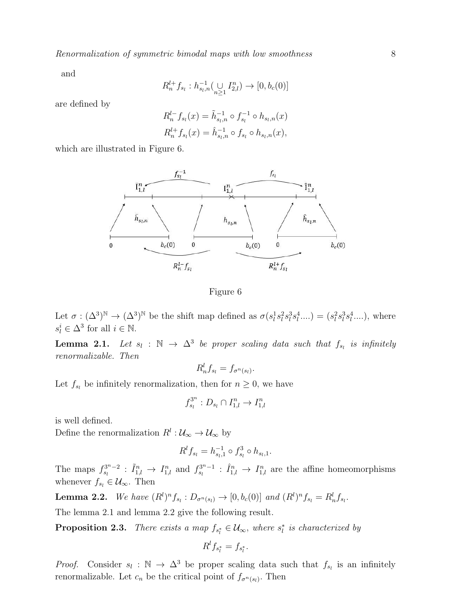and

$$
R_n^{l+} f_{s_l} : h_{s_l,n}^{-1} (\bigcup_{n \geq 1} I_{2,l}^n) \to [0, b_c(0)]
$$

are defined by

$$
R_n^{l-} f_{s_l}(x) = \tilde{h}_{s_l,n}^{-1} \circ f_{s_l}^{-1} \circ h_{s_l,n}(x)
$$
  

$$
R_n^{l+} f_{s_l}(x) = \hat{h}_{s_l,n}^{-1} \circ f_{s_l} \circ h_{s_l,n}(x),
$$

which are illustrated in Figure 6.



Figure 6

Let  $\sigma : (\Delta^3)^{\mathbb{N}} \to (\Delta^3)^{\mathbb{N}}$  be the shift map defined as  $\sigma(s_l^1 s_l^2 s_l^3 s_l^4 ....) = (s_l^2 s_l^3 s_l^4 ....)$ , where  $s_l^i \in \Delta^3$  for all  $i \in \mathbb{N}$ .

**Lemma 2.1.** Let  $s_l : \mathbb{N} \to \Delta^3$  be proper scaling data such that  $f_{s_l}$  is infinitely renormalizable. Then

$$
R_n^l f_{s_l} = f_{\sigma^n(s_l)}.
$$

Let  $f_{s_l}$  be infinitely renormalization, then for  $n \geq 0$ , we have

$$
f_{s_l}^{3^n}: D_{s_l} \cap I_{1,l}^n \to I_{1,l}^n
$$

is well defined.

Define the renormalization  $R^l: \mathcal{U}_{\infty} \to \mathcal{U}_{\infty}$  by

$$
R^l f_{s_l} = h_{s_l,1}^{-1} \circ f_{s_l}^3 \circ h_{s_l,1}.
$$

The maps  $f_{s_l}^{3^n-2}$ :  $\tilde{I}_{1,l}^n \to I_{1,l}^n$  and  $f_{s_l}^{3^n-1}$ :  $\tilde{I}_{1,l}^n \to I_{1,l}^n$  are the affine homeomorphisms whenever  $f_{s_l} \in \mathcal{U}_{\infty}$ . Then

**Lemma 2.2.** We have  $(R^l)^n f_{s_l} : D_{\sigma^n(s_l)} \to [0, b_c(0)]$  and  $(R^l)^n f_{s_l} = R^l_n f_{s_l}$ .

The lemma 2.1 and lemma 2.2 give the following result.

**Proposition 2.3.** There exists a map  $f_{s_i^*} \in \mathcal{U}_{\infty}$ , where  $s_i^*$  is characterized by

$$
R^l f_{s_l^*} = f_{s_l^*}.
$$

*Proof.* Consider  $s_l : \mathbb{N} \to \Delta^3$  be proper scaling data such that  $f_{s_l}$  is an infinitely renormalizable. Let  $c_n$  be the critical point of  $f_{\sigma^n(s_i)}$ . Then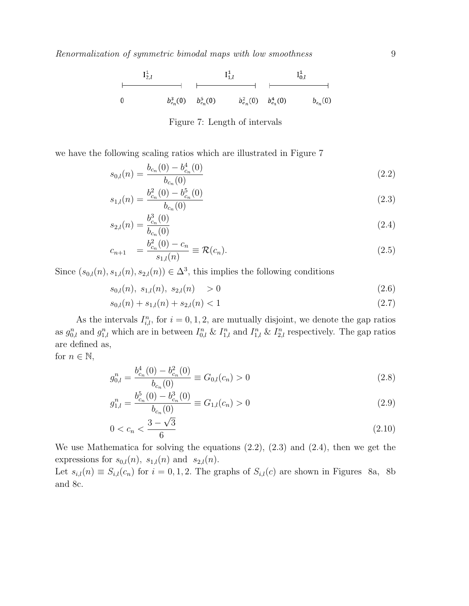

Figure 7: Length of intervals

we have the following scaling ratios which are illustrated in Figure 7

$$
s_{0,l}(n) = \frac{b_{c_n}(0) - b_{c_n}^4(0)}{b_{c_n}(0)}\tag{2.2}
$$

$$
s_{1,l}(n) = \frac{b_{c_n}^2(0) - b_{c_n}^5(0)}{b_{c_n}(0)}
$$
\n(2.3)

$$
s_{2,l}(n) = \frac{b_{c_n}^3(0)}{b_{c_n}(0)}\tag{2.4}
$$

$$
c_{n+1} = \frac{b_{c_n}^2(0) - c_n}{s_{1,l}(n)} \equiv \mathcal{R}(c_n).
$$
\n(2.5)

Since  $(s_{0,l}(n), s_{1,l}(n), s_{2,l}(n)) \in \Delta^3$ , this implies the following conditions

$$
s_{0,l}(n), \ s_{1,l}(n), \ s_{2,l}(n) > 0 \tag{2.6}
$$

$$
s_{0,l}(n) + s_{1,l}(n) + s_{2,l}(n) < 1 \tag{2.7}
$$

As the intervals  $I_{i,l}^n$ , for  $i = 0, 1, 2$ , are mutually disjoint, we denote the gap ratios as  $g_{0,l}^n$  and  $g_{1,l}^n$  which are in between  $I_{0,l}^n \& I_{1,l}^n$  and  $I_{1,l}^n \& I_{2,l}^n$  respectively. The gap ratios are defined as,

for  $n \in \mathbb{N}$ ,

$$
g_{0,l}^n = \frac{b_{c_n}^4(0) - b_{c_n}^2(0)}{b_{c_n}(0)} \equiv G_{0,l}(c_n) > 0
$$
\n(2.8)

$$
g_{1,l}^n = \frac{b_{c_n}^5(0) - b_{c_n}^3(0)}{b_{c_n}(0)} \equiv G_{1,l}(c_n) > 0
$$
\n(2.9)

$$
0 < c_n < \frac{3 - \sqrt{3}}{6} \tag{2.10}
$$

We use Mathematica for solving the equations (2.2), (2.3) and (2.4), then we get the expressions for  $s_{0,l}(n)$ ,  $s_{1,l}(n)$  and  $s_{2,l}(n)$ .

Let  $s_{i,l}(n) \equiv S_{i,l}(c_n)$  for  $i = 0, 1, 2$ . The graphs of  $S_{i,l}(c)$  are shown in Figures 8a, 8b and 8c.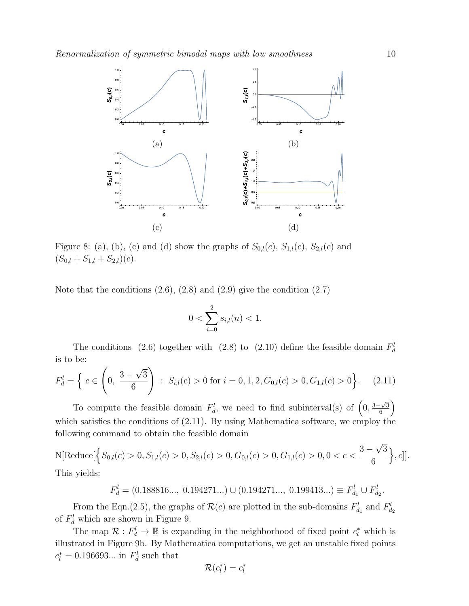

Figure 8: (a), (b), (c) and (d) show the graphs of  $S_{0,l}(c)$ ,  $S_{1,l}(c)$ ,  $S_{2,l}(c)$  and  $(S_{0,l} + S_{1,l} + S_{2,l})(c).$ 

Note that the conditions  $(2.6)$ ,  $(2.8)$  and  $(2.9)$  give the condition  $(2.7)$ 

$$
0 < \sum_{i=0}^{2} s_{i,l}(n) < 1.
$$

The conditions (2.6) together with (2.8) to (2.10) define the feasible domain  $F_d^l$ is to be:

$$
F_d^l = \left\{ c \in \left(0, \frac{3-\sqrt{3}}{6}\right) : S_{i,l}(c) > 0 \text{ for } i = 0, 1, 2, G_{0,l}(c) > 0, G_{1,l}(c) > 0 \right\}.
$$
 (2.11)

To compute the feasible domain  $F_d^l$ , we need to find subinterval(s) of  $\left(0, \frac{3-\sqrt{3}}{6}\right)$  $\frac{\sqrt{3}}{6}$ which satisfies the conditions of (2.11). By using Mathematica software, we employ the following command to obtain the feasible domain

 $N[\textrm{Reduce}[\left\{S_{0,l}(c)>0,S_{1,l}(c)>0,S_{2,l}(c)>0,G_{0,l}(c)>0,G_{1,l}(c)>0,0$ 6  $\big\}$ ,  $c$ ]. This yields:

$$
F_d^l = (0.188816..., 0.194271...) \cup (0.194271..., 0.199413...) \equiv F_{d_1}^l \cup F_{d_2}^l.
$$

From the Eqn.(2.5), the graphs of  $\mathcal{R}(c)$  are plotted in the sub-domains  $F_{d_1}^l$  and  $F_{d_2}^l$ of  $F_d^l$  which are shown in Figure 9.

The map  $\mathcal{R}: F_d^l \to \mathbb{R}$  is expanding in the neighborhood of fixed point  $c_l^*$  which is illustrated in Figure 9b. By Mathematica computations, we get an unstable fixed points  $c_l^* = 0.196693...$  in  $F_d^l$  such that

$$
\mathcal{R}(c_l^*)=c_l^*
$$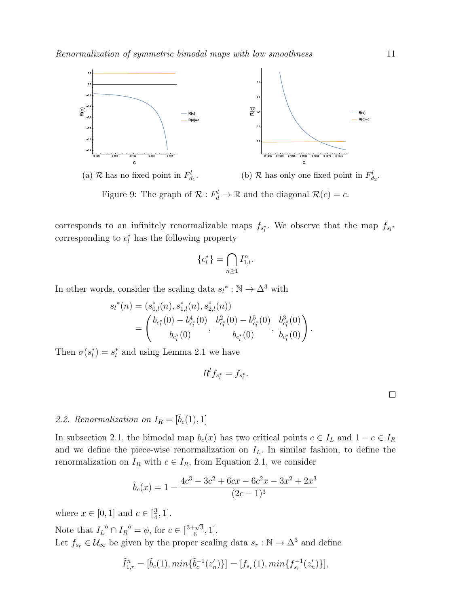

(a) R has no fixed point in  $F_{d_1}^l$ . (b)  $R$  has only one fixed point in  $F_{d_2}^l$ . Figure 9: The graph of  $\mathcal{R}: F_d^l \to \mathbb{R}$  and the diagonal  $\mathcal{R}(c) = c$ .

corresponds to an infinitely renormalizable maps  $f_{s_i^*}$ . We observe that the map  $f_{s_i^*}$ corresponding to  $c_l^*$  has the following property

$$
\{c_l^*\} = \bigcap_{n\geq 1} I_{1,l}^n.
$$

In other words, consider the scaling data  $s_l^* : \mathbb{N} \to \Delta^3$  with

$$
s_l^*(n) = (s_{0,l}^*(n), s_{1,l}^*(n), s_{2,l}^*(n))
$$
  
= 
$$
\left(\frac{b_{c_l^*}(0) - b_{c_l^*}^*(0)}{b_{c_l^*}(0)}, \frac{b_{c_l^*}^*(0) - b_{c_l^*}^*(0)}{b_{c_l^*}(0)}, \frac{b_{c_l^*}^*(0)}{b_{c_l^*}(0)}\right).
$$

Then  $\sigma(s_l^*) = s_l^*$  and using Lemma 2.1 we have

$$
R^l f_{s^*_l} = f_{s^*_l}
$$

.

 $\Box$ 

# 2.2. Renormalization on  $I_R = [\tilde{b}_c(1), 1]$

In subsection 2.1, the bimodal map  $b_c(x)$  has two critical points  $c \in I_L$  and  $1 - c \in I_R$ and we define the piece-wise renormalization on  $I_L$ . In similar fashion, to define the renormalization on  $I_R$  with  $c \in I_R$ , from Equation 2.1, we consider

$$
\tilde{b}_c(x) = 1 - \frac{4c^3 - 3c^2 + 6cx - 6c^2x - 3x^2 + 2x^3}{(2c - 1)^3}
$$

where  $x \in [0, 1]$  and  $c \in [\frac{3}{4}]$  $\frac{3}{4}, 1].$ 

Note that  $I_L^{\circ} \cap I_R^{\circ} = \phi$ , for  $c \in \left[\frac{3+\sqrt{3}}{6}\right]$  $\frac{-\sqrt{3}}{6}, 1].$ Let  $f_{s_r} \in \mathcal{U}_{\infty}$  be given by the proper scaling data  $s_r : \mathbb{N} \to \Delta^3$  and define

$$
\tilde{I}_{1,r}^n = [\tilde{b}_c(1), \min\{\tilde{b}_c^{-1}(z'_n)\}] = [f_{s_r}(1), \min\{f_{s_r}^{-1}(z'_n)\}],
$$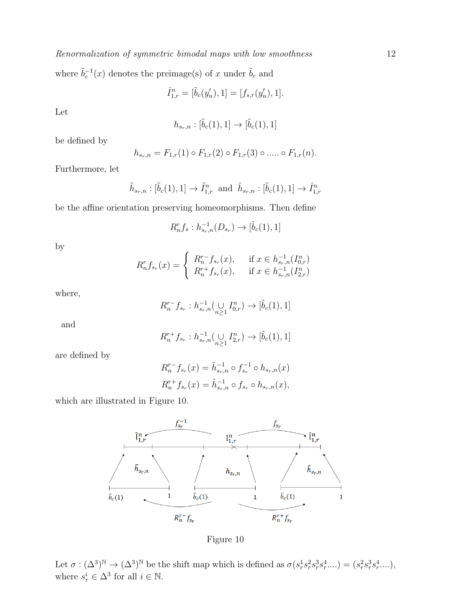where  $\tilde{b}_c^{-1}(x)$  denotes the preimage(s) of x under  $\tilde{b}_c$  and

$$
\hat{I}_{1,r}^n = [\tilde{b}_c(y'_n), 1] = [f_{s,r}(y'_n), 1].
$$

Let

$$
h_{s_r,n} : [\tilde{b}_c(1),1] \to [\tilde{b}_c(1),1]
$$

be defined by

$$
h_{s_r,n} = F_{1,r}(1) \circ F_{1,r}(2) \circ F_{1,r}(3) \circ \dots \circ F_{1,r}(n).
$$

Furthermore, let

$$
\tilde{h}_{s_r,n} : [\tilde{b}_c(1), 1] \to \tilde{I}_{1,r}^n
$$
 and  $\hat{h}_{s_r,n} : [\tilde{b}_c(1), 1] \to \hat{I}_{1,r}^n$ 

be the affine orientation preserving homeomorphisms. Then define

$$
R_n^r f_s : h_{s_r,n}^{-1}(D_{s_r}) \to [\tilde{b}_c(1), 1]
$$

by

$$
R_n^r f_{s_r}(x) = \begin{cases} R_n^{r-} f_{s_r}(x), & \text{if } x \in h_{s_r,n}^{-1}(I_{0,r}^n) \\ R_n^{r+} f_{s_r}(x), & \text{if } x \in h_{s_r,n}^{-1}(I_{2,r}^n) \end{cases}
$$

where,

$$
R_n^{r-} f_{s_r} : h_{s_r,n}^{-1} (\underset{n \geq 1}{\cup} I_{0,r}^n) \to [\tilde{b}_c(1), 1]
$$

and

$$
R_n^{r+} f_{s_r} : h_{s_r,n}^{-1} (\bigcup_{n \geq 1} I_{2,r}^n) \to [\tilde{b}_c(1), 1]
$$

are defined by

$$
R_n^{r-} f_{s_r}(x) = \tilde{h}_{s_r,n}^{-1} \circ f_{s_r}^{-1} \circ h_{s_r,n}(x)
$$
  

$$
R_n^{r+} f_{s_r}(x) = \hat{h}_{s_r,n}^{-1} \circ f_{s_r} \circ h_{s_r,n}(x),
$$

which are illustrated in Figure 10.



Figure 10

Let  $\sigma: (\Delta^3)^{\mathbb{N}} \to (\Delta^3)^{\mathbb{N}}$  be the shift map which is defined as  $\sigma(s_r^1 s_r^2 s_r^3 s_r^4 ....) = (s_r^2 s_r^3 s_r^4 ....)$ , where  $s_r^i \in \Delta^3$  for all  $i \in \mathbb{N}$ .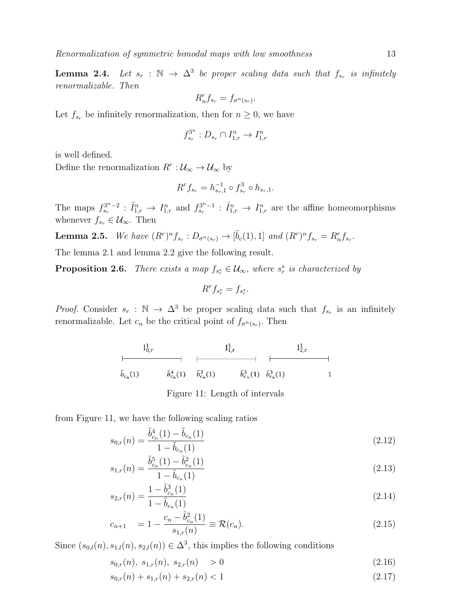**Lemma 2.4.** Let  $s_r : \mathbb{N} \to \Delta^3$  be proper scaling data such that  $f_{s_r}$  is infinitely renormalizable. Then

$$
R_n^r f_{s_r} = f_{\sigma^n(s_r)}.
$$

Let  $f_{s_r}$  be infinitely renormalization, then for  $n \geq 0$ , we have

$$
f_{s_r}^{3^n}: D_{s_r} \cap I_{1,r}^n \to I_{1,r}^n
$$

is well defined.

Define the renormalization  $R^r: \mathcal{U}_{\infty} \to \mathcal{U}_{\infty}$  by

$$
R^r f_{s_r} = h_{s_r,1}^{-1} \circ f_{s_r}^3 \circ h_{s_r,1}.
$$

The maps  $f_{s_r}^{3^n-2}$ :  $\tilde{I}_{1,r}^n \to I_{1,r}^n$  and  $f_{s_r}^{3^n-1}$ :  $\tilde{I}_{1,r}^n \to I_{1,r}^n$  are the affine homeomorphisms whenever  $f_{s_r} \in \mathcal{U}_{\infty}$ . Then

**Lemma 2.5.** We have  $(R^r)^n f_{s_r} : D_{\sigma^n(s_r)} \to [\tilde{b}_c(1), 1]$  and  $(R^r)^n f_{s_r} = R_n^r f_{s_r}$ .

The lemma 2.1 and lemma 2.2 give the following result.

**Proposition 2.6.** There exists a map  $f_{s_r^*} \in \mathcal{U}_{\infty}$ , where  $s_r^*$  is characterized by

$$
R^r f_{s_r^*} = f_{s_r^*}.
$$

*Proof.* Consider  $s_r : \mathbb{N} \to \Delta^3$  be proper scaling data such that  $f_{s_r}$  is an infinitely renormalizable. Let  $c_n$  be the critical point of  $f_{\sigma^n(s_r)}$ . Then

$$
\begin{array}{c|ccccc}\n & I_{0,r}^1 & & I_{1,r}^1 & & I_{2,r}^1 \\
\hline\n\ddot{b}_{c_n}(1) & \ddot{b}_{c_n}^4(1) & \ddot{b}_{c_n}^2(1) & \ddot{b}_{c_n}^5(1) & \ddot{b}_{c_n}^3(1) & 1\n\end{array}
$$

Figure 11: Length of intervals

from Figure 11, we have the following scaling ratios

$$
s_{0,r}(n) = \frac{\tilde{b}_{c_n}^4(1) - \tilde{b}_{c_n}(1)}{1 - \tilde{b}_{c_n}(1)}
$$
\n(2.12)

$$
s_{1,r}(n) = \frac{\tilde{b}_{c_n}^5(1) - \tilde{b}_{c_n}^2(1)}{1 - \tilde{b}_{c_n}(1)}
$$
\n(2.13)

$$
s_{2,r}(n) = \frac{1 - \tilde{b}_{c_n}^3(1)}{1 - \tilde{b}_{c_n}(1)}
$$
\n(2.14)

$$
c_{n+1} = 1 - \frac{c_n - \tilde{b}_{c_n}^2(1)}{s_{1,r}(n)} \equiv \mathcal{R}(c_n).
$$
 (2.15)

Since  $(s_{0,l}(n), s_{1,l}(n), s_{2,l}(n)) \in \Delta^3$ , this implies the following conditions

$$
s_{0,r}(n), \ s_{1,r}(n), \ s_{2,r}(n) > 0 \tag{2.16}
$$

$$
s_{0,r}(n) + s_{1,r}(n) + s_{2,r}(n) < 1 \tag{2.17}
$$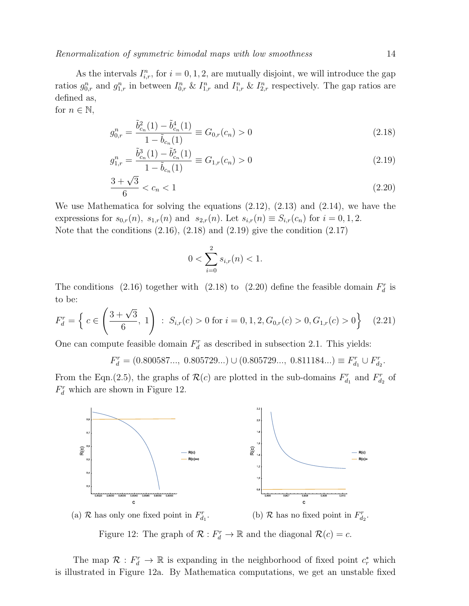As the intervals  $I_{i,r}^n$ , for  $i = 0, 1, 2$ , are mutually disjoint, we will introduce the gap ratios  $g_{0,r}^n$  and  $g_{1,r}^n$  in between  $I_{0,r}^n \& I_{1,r}^n$  and  $I_{1,r}^n \& I_{2,r}^n$  respectively. The gap ratios are defined as,

for 
$$
n \in \mathbb{N}
$$
,

$$
g_{0,r}^n = \frac{\tilde{b}_{c_n}^2(1) - \tilde{b}_{c_n}^4(1)}{1 - \tilde{b}_{c_n}(1)} \equiv G_{0,r}(c_n) > 0
$$
\n(2.18)

$$
g_{1,r}^n = \frac{\tilde{b}_{c_n}^3(1) - \tilde{b}_{c_n}^5(1)}{1 - \tilde{b}_{c_n}(1)} \equiv G_{1,r}(c_n) > 0
$$
\n(2.19)

$$
\frac{3+\sqrt{3}}{6} < c_n < 1 \tag{2.20}
$$

We use Mathematica for solving the equations (2.12), (2.13) and (2.14), we have the expressions for  $s_{0,r}(n)$ ,  $s_{1,r}(n)$  and  $s_{2,r}(n)$ . Let  $s_{i,r}(n) \equiv S_{i,r}(c_n)$  for  $i = 0, 1, 2$ . Note that the conditions  $(2.16)$ ,  $(2.18)$  and  $(2.19)$  give the condition  $(2.17)$ 

$$
0 < \sum_{i=0}^{2} s_{i,r}(n) < 1.
$$

The conditions (2.16) together with (2.18) to (2.20) define the feasible domain  $F_d^r$  is to be:

$$
F_d^r = \left\{ c \in \left( \frac{3 + \sqrt{3}}{6}, 1 \right) : S_{i,r}(c) > 0 \text{ for } i = 0, 1, 2, G_{0,r}(c) > 0, G_{1,r}(c) > 0 \right\}
$$
 (2.21)

One can compute feasible domain  $F_d^r$  as described in subsection 2.1. This yields:

 $F_d^r = (0.800587..., 0.805729...) \cup (0.805729..., 0.811184...) \equiv F_{d_1}^r \cup F_{d_2}^r.$ 

From the Eqn.(2.5), the graphs of  $\mathcal{R}(c)$  are plotted in the sub-domains  $F_{d_1}^r$  and  $F_{d_2}^r$  of  $F_d^r$  which are shown in Figure 12.





Figure 12: The graph of  $\mathcal{R}: F_d^r \to \mathbb{R}$  and the diagonal  $\mathcal{R}(c) = c$ .

The map  $\mathcal{R}: F_d^r \to \mathbb{R}$  is expanding in the neighborhood of fixed point  $c_r^*$  which is illustrated in Figure 12a. By Mathematica computations, we get an unstable fixed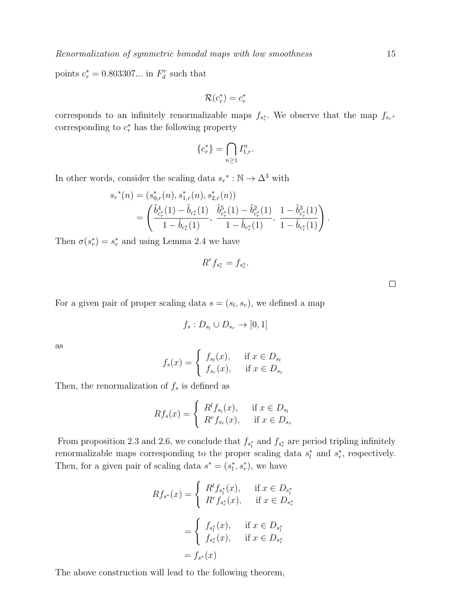points  $c_r^* = 0.803307...$  in  $F_d^r$  such that

$$
\mathcal{R}(c_r^*)=c_r^*
$$

corresponds to an infinitely renormalizable maps  $f_{s_r^*}$ . We observe that the map  $f_{s_r^*}$ corresponding to  $c_r^*$  has the following property

$$
\{c_r^*\} = \bigcap_{n\geq 1} I_{1,r}^n.
$$

In other words, consider the scaling data  $s_r^* : \mathbb{N} \to \Delta^3$  with

$$
s_r^{*}(n) = (s_{0,r}^{*}(n), s_{1,r}^{*}(n), s_{2,r}^{*}(n))
$$
  
=  $\left( \frac{\tilde{b}_{c_r^{*}}^{4}(1) - \tilde{b}_{c_r^{*}}(1)}{1 - \tilde{b}_{c_r^{*}}(1)}, \frac{\tilde{b}_{c_r^{*}}^{5}(1) - \tilde{b}_{c_r^{*}}^{2}(1)}{1 - \tilde{b}_{c_r^{*}}(1)}, \frac{1 - \tilde{b}_{c_r^{*}}^{3}(1)}{1 - \tilde{b}_{c_r^{*}}(1)} \right).$ 

Then  $\sigma(s_r^*) = s_r^*$  and using Lemma 2.4 we have

$$
R^r f_{s_r^*} = f_{s_r^*}.
$$

 $\Box$ 

For a given pair of proper scaling data  $s = (s_l, s_r)$ , we defined a map

$$
f_s: D_{s_l} \cup D_{s_r} \rightarrow [0,1]
$$

as

$$
f_s(x) = \begin{cases} f_{s_l}(x), & \text{if } x \in D_{s_l} \\ f_{s_r}(x), & \text{if } x \in D_{s_r} \end{cases}
$$

Then, the renormalization of  $f_s$  is defined as

$$
Rf_s(x) = \begin{cases} R^l f_{s_l}(x), & \text{if } x \in D_{s_l} \\ R^r f_{s_r}(x), & \text{if } x \in D_{s_r} \end{cases}
$$

From proposition 2.3 and 2.6, we conclude that  $f_{s_t^*}$  and  $f_{s_r^*}$  are period tripling infinitely renormalizable maps corresponding to the proper scaling data  $s_t^*$  and  $s_r^*$ , respectively. Then, for a given pair of scaling data  $s^* = (s_i^*, s_r^*)$ , we have

$$
Rf_{s^*}(x) = \begin{cases} R^l f_{s^*_{l}}(x), & \text{if } x \in D_{s^*_{l}} \\ R^r f_{s^*_{r}}(x), & \text{if } x \in D_{s^*_{r}} \end{cases}
$$

$$
= \begin{cases} f_{s^*_{l}}(x), & \text{if } x \in D_{s^*_{l}} \\ f_{s^*_{r}}(x), & \text{if } x \in D_{s^*_{r}} \end{cases}
$$

$$
= f_{s^*}(x)
$$

The above construction will lead to the following theorem,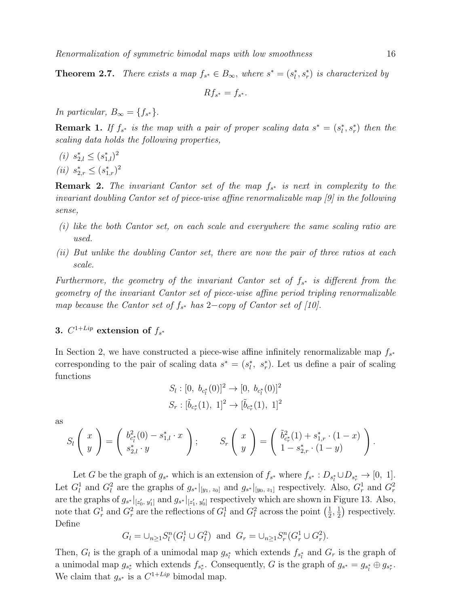**Theorem 2.7.** There exists a map  $f_{s^*} \in B_{\infty}$ , where  $s^* = (s_l^*, s_r^*)$  is characterized by

$$
Rf_{s^*}=f_{s^*}.
$$

In particular,  $B_{\infty} = \{f_{s^*}\}.$ 

**Remark 1.** If  $f_{s^*}$  is the map with a pair of proper scaling data  $s^* = (s_l^*, s_r^*)$  then the scaling data holds the following properties,

- (*i*)  $s_{2,l}^* \leq (s_{1,l}^*)^2$
- (*ii*)  $s_{2,r}^* \leq (s_{1,r}^*)^2$

**Remark 2.** The invariant Cantor set of the map  $f_{s^*}$  is next in complexity to the invariant doubling Cantor set of piece-wise affine renormalizable map [9] in the following sense,

- (i) like the both Cantor set, on each scale and everywhere the same scaling ratio are used.
- (ii) But unlike the doubling Cantor set, there are now the pair of three ratios at each scale.

Furthermore, the geometry of the invariant Cantor set of  $f_{s*}$  is different from the geometry of the invariant Cantor set of piece-wise affine period tripling renormalizable map because the Cantor set of  $f_{s^*}$  has 2-copy of Cantor set of [10].

## 3.  $C^{1+Lip}$  extension of  $f_{s^*}$

In Section 2, we have constructed a piece-wise affine infinitely renormalizable map  $f_{s^*}$ corresponding to the pair of scaling data  $s^* = (s_i^*, s_r^*)$ . Let us define a pair of scaling functions

$$
S_l : [0, b_{c_l^*}(0)]^2 \to [0, b_{c_l^*}(0)]^2
$$
  

$$
S_r : [\tilde{b}_{c_r^*}(1), 1]^2 \to [\tilde{b}_{c_r^*}(1), 1]^2
$$

as

$$
S_l\left(\begin{array}{c} x \\ y \end{array}\right) = \left(\begin{array}{c} b_{c_l^*}^2(0) - s_{1,l}^* \cdot x \\ s_{2,l}^* \cdot y \end{array}\right); \qquad S_r\left(\begin{array}{c} x \\ y \end{array}\right) = \left(\begin{array}{c} \tilde{b}_{c_r^*}^2(1) + s_{1,r}^* \cdot (1-x) \\ 1 - s_{2,r}^* \cdot (1-y) \end{array}\right).
$$

Let G be the graph of  $g_{s^*}$  which is an extension of  $f_{s^*}$  where  $f_{s^*}: D_{s_l^*} \cup D_{s_r^*} \to [0, 1]$ . Let  $G_l^1$  and  $G_l^2$  are the graphs of  $g_{s^*}|_{[y_1, z_0]}$  and  $g_{s^*}|_{[y_0, z_1]}$  respectively. Also,  $G_r^1$  and  $G_r^2$ are the graphs of  $g_{s^*}|_{[z'_0, y'_1]}$  and  $g_{s^*}|_{[z'_1, y'_0]}$  respectively which are shown in Figure 13. Also, note that  $G_r^1$  and  $G_r^2$  are the reflections of  $G_l^1$  and  $G_l^2$  across the point  $\left(\frac{1}{2}\right)$  $\frac{1}{2}, \frac{1}{2}$  $(\frac{1}{2})$  respectively. Define

$$
G_l = \bigcup_{n \ge 1} S_l^n(G_l^1 \cup G_l^2) \text{ and } G_r = \bigcup_{n \ge 1} S_r^n(G_r^1 \cup G_r^2).
$$

Then,  $G_l$  is the graph of a unimodal map  $g_{s_l^*}$  which extends  $f_{s_l^*}$  and  $G_r$  is the graph of a unimodal map  $g_{s_r^*}$  which extends  $f_{s_r^*}$ . Consequently, G is the graph of  $g_{s^*} = g_{s_l^*} \oplus g_{s_r^*}$ . We claim that  $g_{s^*}$  is a  $C^{1+Lip}$  bimodal map.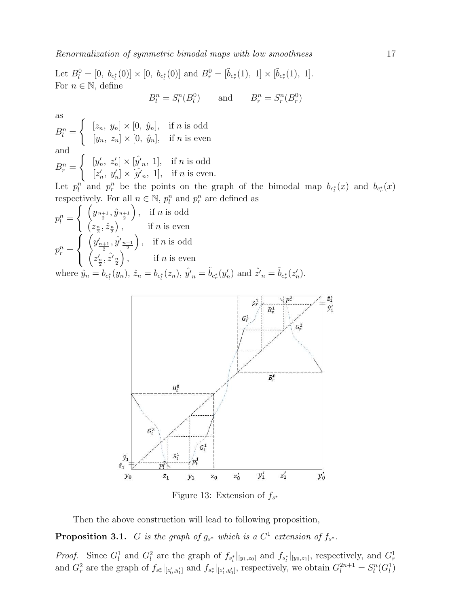Let  $B_l^0 = [0, b_{c_l^*}(0)] \times [0, b_{c_l^*}(0)]$  and  $B_r^0 = [\tilde{b}_{c_r^*}(1), 1] \times [\tilde{b}_{c_r^*}(1), 1]$ . For  $n \in \mathbb{N}$ , define

$$
B_l^n = S_l^n(B_l^0) \qquad \text{and} \qquad B_r^n = S_r^n(B_r^0)
$$

as

 $B_l^n =$  $\int [z_n, y_n] \times [0, \hat{y}_n], \text{ if } n \text{ is odd}$  $[y_n, z_n] \times [0, \hat{y}_n],$  if *n* is even and  $B_r^n =$  $\int [y'_n, z'_n] \times [\hat{y}'_n, 1], \text{ if } n \text{ is odd}$  $[z'_n, y'_n] \times [\hat{y'}_n, 1], \text{ if } n \text{ is even.}$ 

Let  $p_l^n$  and  $p_r^n$  be the points on the graph of the bimodal map  $b_{c_l^*}(x)$  and  $b_{c_r^*}(x)$ respectively. For all  $n \in \mathbb{N}$ ,  $p_l^n$  and  $p_r^n$  are defined as

$$
p_l^n = \begin{cases} \left(y_{\frac{n+1}{2}}, \hat{y}_{\frac{n+1}{2}}\right), & \text{if } n \text{ is odd} \\ \left(z_{\frac{n}{2}}, \hat{z}_{\frac{n}{2}}\right), & \text{if } n \text{ is even} \end{cases}
$$

$$
p_r^n = \begin{cases} \left(y'_{\frac{n+1}{2}}, \hat{y}'_{\frac{n+1}{2}}\right), & \text{if } n \text{ is odd} \\ \left(z'_{\frac{n}{2}}, \hat{z}'_{\frac{n}{2}}\right), & \text{if } n \text{ is even} \end{cases}
$$

where  $\hat{y}_n = b_{c_l^*}(y_n)$ ,  $\hat{z}_n = b_{c_l^*}(z_n)$ ,  $\hat{y'}_n = \tilde{b}_{c_r^*}(y'_n)$  and  $\hat{z'}_n = \tilde{b}_{c_r^*}(z'_n)$ .



Figure 13: Extension of  $f_{s^*}$ 

Then the above construction will lead to following proposition,

**Proposition 3.1.** G is the graph of  $g_{s*}$  which is a  $C^1$  extension of  $f_{s*}$ .

*Proof.* Since  $G_l^1$  and  $G_l^2$  are the graph of  $f_{s_l^*}|_{[y_1,z_0]}$  and  $f_{s_l^*}|_{[y_0,z_1]}$ , respectively, and  $G_r^1$ and  $G_r^2$  are the graph of  $f_{s_r^*}|_{[z'_0,y'_1]}$  and  $f_{s_r^*}|_{[z'_1,y'_0]}$ , respectively, we obtain  $G_l^{2n+1} = S_l^n(G_l^1)$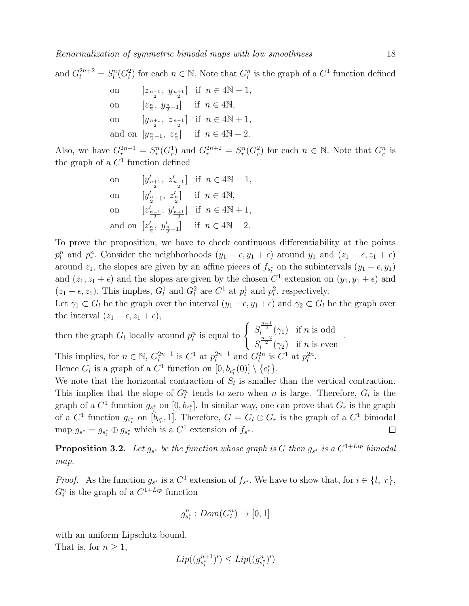and  $G_l^{2n+2} = S_l^n(G_l^2)$  for each  $n \in \mathbb{N}$ . Note that  $G_l^n$  is the graph of a  $C_l^1$  function defined

| on         |                                                                 | $[z_{\frac{n-1}{2}}, y_{\frac{n+1}{2}}]$ if $n \in 4\mathbb{N} - 1$ ,      |
|------------|-----------------------------------------------------------------|----------------------------------------------------------------------------|
| ${\rm on}$ | $[z_{\frac{n}{2}}, y_{\frac{n}{2}-1}]$ if $n \in 4\mathbb{N}$ , |                                                                            |
| on         |                                                                 | $[y_{\frac{n+1}{2}}, z_{\frac{n-1}{2}}]$ if $n \in 4\mathbb{N}+1$ ,        |
|            |                                                                 | and on $[y_{\frac{n}{2}-1}, z_{\frac{n}{2}}]$ if $n \in 4\mathbb{N} + 2$ . |

Also, we have  $G_r^{2n+1} = S_r^n(G_r^1)$  and  $G_r^{2n+2} = S_r^n(G_r^2)$  for each  $n \in \mathbb{N}$ . Note that  $G_r^n$  is the graph of a  $C^1$  function defined

on 
$$
[y'_{\frac{n+1}{2}}, z'_{\frac{n-1}{2}}]
$$
 if  $n \in 4N - 1$ ,  
\non  $[y'_{\frac{n}{2}-1}, z'_{\frac{n}{2}}]$  if  $n \in 4N$ ,  
\non  $[z'_{\frac{n-1}{2}}, y'_{\frac{n+1}{2}}]$  if  $n \in 4N + 1$ ,  
\nand on  $[z'_{\frac{n}{2}}, y'_{\frac{n}{2}-1}]$  if  $n \in 4N + 2$ .

To prove the proposition, we have to check continuous differentiability at the points  $p_l^n$  and  $p_r^n$ . Consider the neighborhoods  $(y_1 - \epsilon, y_1 + \epsilon)$  around  $y_1$  and  $(z_1 - \epsilon, z_1 + \epsilon)$ around  $z_1$ , the slopes are given by an affine pieces of  $f_{s_t^*}$  on the subintervals  $(y_1 - \epsilon, y_1)$ and  $(z_1, z_1 + \epsilon)$  and the slopes are given by the chosen  $C^1$  extension on  $(y_1, y_1 + \epsilon)$  and  $(z_1 - \epsilon, z_1)$ . This implies,  $G_l^1$  and  $G_l^2$  are  $C^1$  at  $p_l^1$  and  $p_l^2$ , respectively.

Let  $\gamma_1 \subset G_l$  be the graph over the interval  $(y_1 - \epsilon, y_1 + \epsilon)$  and  $\gamma_2 \subset G_l$  be the graph over the interval  $(z_1 - \epsilon, z_1 + \epsilon)$ ,

then the graph 
$$
G_l
$$
 locally around  $p_l^n$  is equal to 
$$
\begin{cases} S_l^{\frac{n-1}{2}}(\gamma_1) & \text{if } n \text{ is odd} \\ S_l^{\frac{n-2}{2}}(\gamma_2) & \text{if } n \text{ is even} \end{cases}
$$
This implies, for  $n \in \mathbb{N}$ ,  $G_l^{2n-1}$  is  $C^1$  at  $p_l^{2n-1}$  and  $G_l^{2n}$  is  $C^1$  at  $p_l^{2n}$ .  
Hence  $G_l$  is a graph of a  $C^1$  function on  $[0, b_{c_l^*}(0)] \setminus \{c_l^*\}$ .

We note that the horizontal contraction of  $S_l$  is smaller than the vertical contraction. This implies that the slope of  $G_l^n$  tends to zero when n is large. Therefore,  $G_l$  is the graph of a  $C^1$  function  $g_{s^*_{\xi}}$  on  $[0, b_{c^*_{\xi}}]$ . In similar way, one can prove that  $G_r$  is the graph of a  $C^1$  function  $g_{s_r^*}$  on  $[\tilde{b}_{c_r^*}, 1]$ . Therefore,  $G = G_l \oplus G_r$  is the graph of a  $C^1$  bimodal map  $g_{s^*} = g_{s_l^*} \oplus g_{s_r^*}$  which is a  $C^1$  extension of  $f_{s^*}$ .  $\Box$ 

**Proposition 3.2.** Let  $g_{s^*}$  be the function whose graph is G then  $g_{s^*}$  is a  $C^{1+Lip}$  bimodal map.

*Proof.* As the function  $g_{s^*}$  is a  $C^1$  extension of  $f_{s^*}$ . We have to show that, for  $i \in \{l, r\}$ ,  $G_i^n$  is the graph of a  $C^{1+Lip}$  function

$$
g^n_{s^*_i}:Dom(G^n_i)\to [0,1]
$$

with an uniform Lipschitz bound.

That is, for  $n \geq 1$ ,

.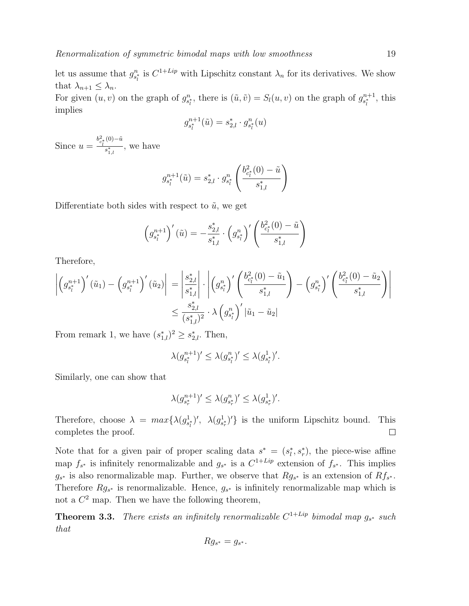$$
g_{s_l^*}^{n+1}(\tilde{u}) = s_{2,l}^* \cdot g_{s_l^*}^n(u)
$$

Since  $u = \frac{b_{c_i^*}^2(0) - \tilde{u}}{s^*}$  $\frac{1}{s_{1,l}^*}$ , we have

$$
g_{s_l^*}^{n+1}(\tilde{u}) = s_{2,l}^* \cdot g_{s_l^*}^n \left( \frac{b_{c_l^*}^2(0) - \tilde{u}}{s_{1,l}^*} \right)
$$

Differentiate both sides with respect to  $\tilde{u}$ , we get

$$
\left(g_{s_i^*}^{n+1}\right)'(\tilde{u}) = -\frac{s_{2,l}^*}{s_{1,l}^*} \cdot \left(g_{s_i^*}^n\right)' \left(\frac{b_{c_i^*}^2(0) - \tilde{u}}{s_{1,l}^*}\right)
$$

Therefore,

$$
\left| \left( g_{s_l^*}^{n+1} \right)'(\tilde{u}_1) - \left( g_{s_l^*}^{n+1} \right)'(\tilde{u}_2) \right| = \left| \frac{s_{2,l}^*}{s_{1,l}^*} \right| \cdot \left| \left( g_{s_l^*}^n \right)' \left( \frac{b_{c_l^*}^2(0) - \tilde{u}_1}{s_{1,l}^*} \right) - \left( g_{s_l^*}^n \right)' \left( \frac{b_{c_l^*}^2(0) - \tilde{u}_2}{s_{1,l}^*} \right) \right|
$$
  

$$
\leq \frac{s_{2,l}^*}{(s_{1,l}^*)^2} \cdot \lambda \left( g_{s_l^*}^n \right)' |\tilde{u}_1 - \tilde{u}_2|
$$

From remark 1, we have  $(s_{1,l}^*)^2 \geq s_{2,l}^*$ . Then,

$$
\lambda(g_{s_i^*}^{n+1})' \le \lambda(g_{s_i^*}^n)' \le \lambda(g_{s_i^*}^1)'.
$$

Similarly, one can show that

$$
\lambda(g_{s_r^*}^{n+1})' \le \lambda(g_{s_r^*}^n)' \le \lambda(g_{s_r^*}^1)'.
$$

Therefore, choose  $\lambda = max\{\lambda(g_{s_i^*}^1)'$ ,  $\lambda(g_{s_i^*}^1)'$  is the uniform Lipschitz bound. This completes the proof.  $\Box$ 

Note that for a given pair of proper scaling data  $s^* = (s_i^*, s_r^*)$ , the piece-wise affine map  $f_{s^*}$  is infinitely renormalizable and  $g_{s^*}$  is a  $C^{1+Lip}$  extension of  $f_{s^*}$ . This implies  $g_{s^*}$  is also renormalizable map. Further, we observe that  $Rg_{s^*}$  is an extension of  $Rf_{s^*}$ . Therefore  $Rg_{s*}$  is renormalizable. Hence,  $g_{s*}$  is infinitely renormalizable map which is not a  $C^2$  map. Then we have the following theorem,

**Theorem 3.3.** There exists an infinitely renormalizable  $C^{1+Lip}$  bimodal map  $g_{s^*}$  such that

$$
Rg_{s^*}=g_{s^*}.
$$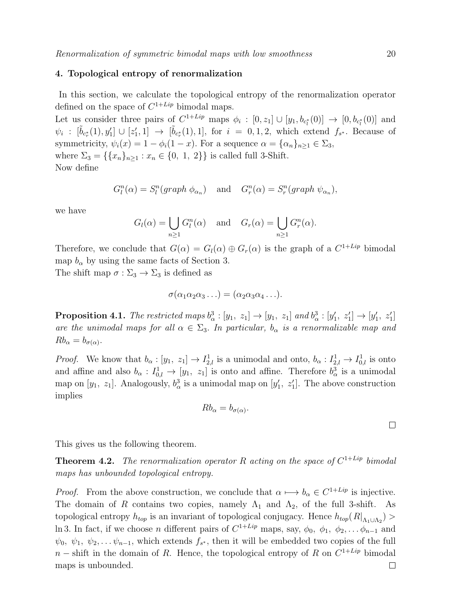### 4. Topological entropy of renormalization

In this section, we calculate the topological entropy of the renormalization operator defined on the space of  $C^{1+Lip}$  bimodal maps.

Let us consider three pairs of  $C^{1+Lip}$  maps  $\phi_i : [0, z_1] \cup [y_1, b_{c_i^*}(0)] \rightarrow [0, b_{c_i^*}(0)]$  and  $\psi_i : [\tilde{b}_{c_i^*}(1), y'_1] \cup [z'_1, 1] \rightarrow [\tilde{b}_{c_i^*}(1), 1],$  for  $i = 0, 1, 2$ , which extend  $f_{s^*}$ . Because of symmetricity,  $\psi_i(x) = 1 - \phi_i(1-x)$ . For a sequence  $\alpha = {\alpha_n}_{n \geq 1} \in \Sigma_3$ , where  $\Sigma_3 = \{\{x_n\}_{n>1} : x_n \in \{0, 1, 2\}\}\$ is called full 3-Shift. Now define

$$
G_l^n(\alpha) = S_l^n(graph \phi_{\alpha_n}) \text{ and } G_r^n(\alpha) = S_r^n(graph \psi_{\alpha_n}),
$$

we have

$$
G_l(\alpha) = \bigcup_{n \ge 1} G_l^n(\alpha) \quad \text{and} \quad G_r(\alpha) = \bigcup_{n \ge 1} G_r^n(\alpha).
$$

Therefore, we conclude that  $G(\alpha) = G_l(\alpha) \oplus G_r(\alpha)$  is the graph of a  $C^{1+Lip}$  bimodal map  $b_{\alpha}$  by using the same facts of Section 3.

The shift map  $\sigma : \Sigma_3 \to \Sigma_3$  is defined as

$$
\sigma(\alpha_1\alpha_2\alpha_3\ldots)=(\alpha_2\alpha_3\alpha_4\ldots).
$$

**Proposition 4.1.** The restricted maps  $b^3_\alpha : [y_1, z_1] \to [y_1, z_1]$  and  $b^3_\alpha : [y'_1, z'_1] \to [y'_1, z'_1]$ are the unimodal maps for all  $\alpha \in \Sigma_3$ . In particular,  $b_{\alpha}$  is a renormalizable map and  $Rb_{\alpha}=b_{\sigma(\alpha)}$ .

*Proof.* We know that  $b_{\alpha} : [y_1, z_1] \to I_{2,l}^1$  is a unimodal and onto,  $b_{\alpha} : I_{2,l}^1 \to I_{0,l}^1$  is onto and affine and also  $b_{\alpha}: I^1_{0,l} \to [y_1, z_1]$  is onto and affine. Therefore  $b_{\alpha}^3$  is a unimodal map on [ $y_1$ ,  $z_1$ ]. Analogously,  $b^3_\alpha$  is a unimodal map on [ $y'_1$ ,  $z'_1$ ]. The above construction implies

$$
Rb_{\alpha}=b_{\sigma(\alpha)}.
$$

This gives us the following theorem.

**Theorem 4.2.** The renormalization operator R acting on the space of  $C^{1+Lip}$  bimodal maps has unbounded topological entropy.

*Proof.* From the above construction, we conclude that  $\alpha \mapsto b_{\alpha} \in C^{1+Lip}$  is injective. The domain of R contains two copies, namely  $\Lambda_1$  and  $\Lambda_2$ , of the full 3-shift. As topological entropy  $h_{top}$  is an invariant of topological conjugacy. Hence  $h_{top}(R|_{\Lambda_1 \cup \Lambda_2}) >$ ln 3. In fact, if we choose *n* different pairs of  $C^{1+Lip}$  maps, say,  $\phi_0$ ,  $\phi_1$ ,  $\phi_2$ , ...  $\phi_{n-1}$  and  $\psi_0, \psi_1, \psi_2, \dots \psi_{n-1}$ , which extends  $f_{s^*}$ , then it will be embedded two copies of the full  $n$  – shift in the domain of R. Hence, the topological entropy of R on  $C^{1+Lip}$  bimodal maps is unbounded. $\Box$ 

 $\Box$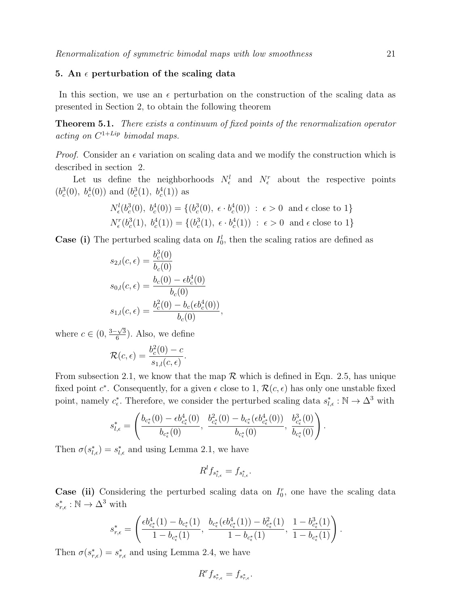### 5. An  $\epsilon$  perturbation of the scaling data

In this section, we use an  $\epsilon$  perturbation on the construction of the scaling data as presented in Section 2, to obtain the following theorem

**Theorem 5.1.** There exists a continuum of fixed points of the renormalization operator  $acting on C^{1+Lip}~bimodal~maps.$ 

*Proof.* Consider an  $\epsilon$  variation on scaling data and we modify the construction which is described in section 2.

Let us define the neighborhoods  $N_{\epsilon}^{l}$  and  $N_{\epsilon}^{r}$  about the respective points  $(b_c^3(0), b_c^4(0))$  and  $(b_c^3(1), b_c^4(1))$  as

$$
N_{\epsilon}^{l}(b_{c}^{3}(0), b_{c}^{4}(0)) = \{(b_{c}^{3}(0), \epsilon \cdot b_{c}^{4}(0)) : \epsilon > 0 \text{ and } \epsilon \text{ close to } 1\}
$$
  

$$
N_{\epsilon}^{r}(b_{c}^{3}(1), b_{c}^{4}(1)) = \{(b_{c}^{3}(1), \epsilon \cdot b_{c}^{4}(1)) : \epsilon > 0 \text{ and } \epsilon \text{ close to } 1\}
$$

**Case (i)** The perturbed scaling data on  $I_0^l$ , then the scaling ratios are defined as

$$
s_{2,l}(c,\epsilon) = \frac{b_c^3(0)}{b_c(0)}
$$
  
\n
$$
s_{0,l}(c,\epsilon) = \frac{b_c(0) - \epsilon b_c^4(0)}{b_c(0)}
$$
  
\n
$$
s_{1,l}(c,\epsilon) = \frac{b_c^2(0) - b_c(\epsilon b_c^4(0))}{b_c(0)},
$$

where  $c \in (0, \frac{3-\sqrt{3}}{6})$  $\frac{\sqrt{3}}{6}$ . Also, we define

$$
\mathcal{R}(c,\epsilon) = \frac{b_c^2(0) - c}{s_{1,l}(c,\epsilon)}.
$$

From subsection 2.1, we know that the map  $\mathcal R$  which is defined in Eqn. 2.5, has unique fixed point  $c^*$ . Consequently, for a given  $\epsilon$  close to 1,  $\mathcal{R}(c, \epsilon)$  has only one unstable fixed point, namely  $c_{\epsilon}^*$ . Therefore, we consider the perturbed scaling data  $s_{l,\epsilon}^* : \mathbb{N} \to \Delta^3$  with

$$
s_{l,\epsilon}^* = \left(\frac{b_{c_{\epsilon}^*}(0) - \epsilon b_{c_{\epsilon}^*}^4(0)}{b_{c_{\epsilon}^*}(0)}, \ \frac{b_{c_{\epsilon}^*}^2(0) - b_{c_{\epsilon}^*}(\epsilon b_{c_{\epsilon}^*}^4(0))}{b_{c_{\epsilon}^*}(0)}, \ \frac{b_{c_{\epsilon}^*}^3(0)}{b_{c_{\epsilon}^*}(0)}\right).
$$

Then  $\sigma(s_{l,\epsilon}^*) = s_{l,\epsilon}^*$  and using Lemma 2.1, we have

$$
R^l f_{s^*_{l,\epsilon}} = f_{s^*_{l,\epsilon}}.
$$

Case (ii) Considering the perturbed scaling data on  $I_0^r$ , one have the scaling data  $s^*_{r,\epsilon}: \mathbb{N} \to \Delta^3$  with

$$
s_{r,\epsilon}^*=\left(\frac{\epsilon b_{c_\epsilon^*}^4(1)-b_{c_\epsilon^*}(1)}{1-b_{c_\epsilon^*}(1)},\,\,\frac{b_{c_\epsilon^*}(\epsilon b_{c_\epsilon^*}^4(1))-b_{c_\epsilon^*}^2(1)}{1-b_{c_\epsilon^*}(1)},\,\,\frac{1-b_{c_\epsilon^*}^3(1)}{1-b_{c_\epsilon^*}(1)}\right).
$$

Then  $\sigma(s_{r,\epsilon}^*) = s_{r,\epsilon}^*$  and using Lemma 2.4, we have

$$
R^r f_{s^*_{r,\epsilon}} = f_{s^*_{r,\epsilon}}.
$$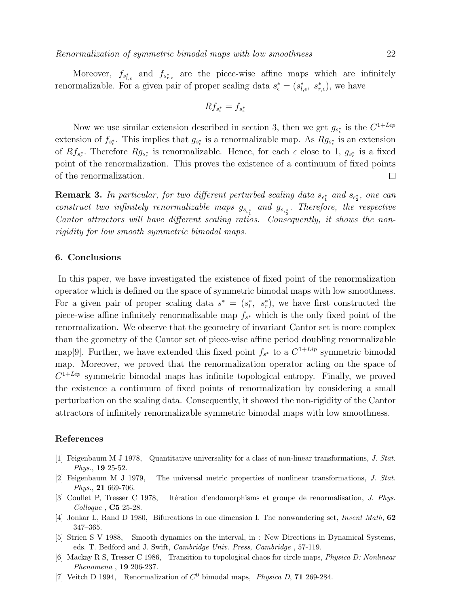Moreover,  $f_{s_{l,\epsilon}^*}$  and  $f_{s_{r,\epsilon}^*}$  are the piece-wise affine maps which are infinitely renormalizable. For a given pair of proper scaling data  $s_{\epsilon}^* = (s_{l,\epsilon}^*, s_{r,\epsilon}^*)$ , we have

$$
Rf_{s^*_{\epsilon}} = f_{s^*_{\epsilon}}
$$

Now we use similar extension described in section 3, then we get  $g_{s_{\epsilon}^*}$  is the  $C^{1+Lip}$ extension of  $f_{s_{\epsilon}^*}$ . This implies that  $g_{s_{\epsilon}^*}$  is a renormalizable map. As  $Rg_{s_{\epsilon}^*}$  is an extension of  $Rf_{s_{\epsilon}^*}$ . Therefore  $Rg_{s_{\epsilon}^*}$  is renormalizable. Hence, for each  $\epsilon$  close to 1,  $g_{s_{\epsilon}^*}$  is a fixed point of the renormalization. This proves the existence of a continuum of fixed points of the renormalization.  $\Box$ 

**Remark 3.** In particular, for two different perturbed scaling data  $s_{\epsilon_1^*}$  and  $s_{\epsilon_2^*}$ , one can construct two infinitely renormalizable maps  $g_{s_{\epsilon_1^*}}$  and  $g_{s_{\epsilon_2^*}}$ . Therefore, the respective Cantor attractors will have different scaling ratios. Consequently, it shows the nonrigidity for low smooth symmetric bimodal maps.

#### 6. Conclusions

In this paper, we have investigated the existence of fixed point of the renormalization operator which is defined on the space of symmetric bimodal maps with low smoothness. For a given pair of proper scaling data  $s^* = (s_i^*, s_r^*)$ , we have first constructed the piece-wise affine infinitely renormalizable map  $f_{s^*}$  which is the only fixed point of the renormalization. We observe that the geometry of invariant Cantor set is more complex than the geometry of the Cantor set of piece-wise affine period doubling renormalizable map<sup>[9]</sup>. Further, we have extended this fixed point  $f_{s^*}$  to a  $C^{1+Lip}$  symmetric bimodal map. Moreover, we proved that the renormalization operator acting on the space of  $C^{1+Lip}$  symmetric bimodal maps has infinite topological entropy. Finally, we proved the existence a continuum of fixed points of renormalization by considering a small perturbation on the scaling data. Consequently, it showed the non-rigidity of the Cantor attractors of infinitely renormalizable symmetric bimodal maps with low smoothness.

#### References

- [1] Feigenbaum M J 1978, Quantitative universality for a class of non-linear transformations, *J. Stat. Phys.*, 19 25-52.
- [2] Feigenbaum M J 1979, The universal metric properties of nonlinear transformations, *J. Stat. Phys.*, 21 669-706.
- [3] Coullet P, Tresser C 1978, It´eration d'endomorphisms et groupe de renormalisation, *J. Phys. Colloque* , C5 25-28.
- [4] Jonkar L, Rand D 1980, Bifurcations in one dimension I. The nonwandering set, *Invent Math*, 62 347–365.
- [5] Strien S V 1988, Smooth dynamics on the interval, in : New Directions in Dynamical Systems, eds. T. Bedford and J. Swift, *Cambridge Univ. Press, Cambridge* , 57-119.
- [6] Mackay R S, Tresser C 1986, Transition to topological chaos for circle maps, *Physica D: Nonlinear Phenomena* , 19 206-237.
- [7] Veitch D 1994, Renormalization of C <sup>0</sup> bimodal maps, *Physica D*, 71 269-284.